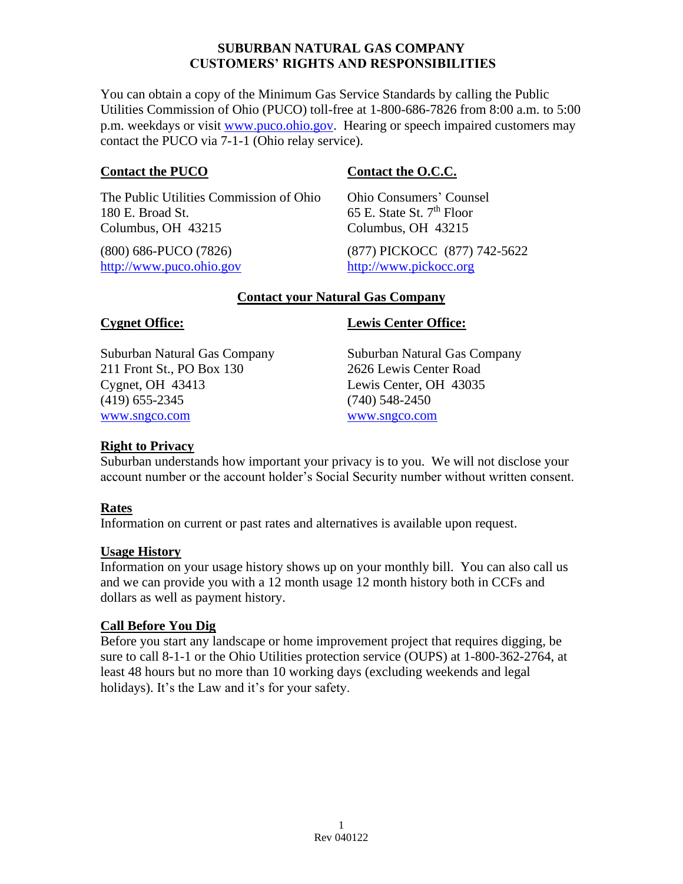#### **SUBURBAN NATURAL GAS COMPANY CUSTOMERS' RIGHTS AND RESPONSIBILITIES**

You can obtain a copy of the Minimum Gas Service Standards by calling the Public Utilities Commission of Ohio (PUCO) toll-free at 1-800-686-7826 from 8:00 a.m. to 5:00 p.m. weekdays or visit [www.puco.ohio.gov.](http://www.puco.ohio.gov/) Hearing or speech impaired customers may contact the PUCO via 7-1-1 (Ohio relay service).

#### **Contact the PUCO**

The Public Utilities Commission of Ohio 180 E. Broad St. Columbus, OH 43215

(800) 686-PUCO (7826) http://www.puco.ohio.gov

## **Contact the O.C.C.**

Ohio Consumers' Counsel 65 E. State St.  $7<sup>th</sup>$  Floor Columbus, OH 43215

(877) PICKOCC (877) 742-5622 http://www.pickocc.org

#### **Contact your Natural Gas Company**

## **Cygnet Office:**

## **Lewis Center Office:**

Suburban Natural Gas Company 211 Front St., PO Box 130 Cygnet, OH 43413 (419) 655-2345 [www.sngco.com](http://www.sngco.com/)

Suburban Natural Gas Company 2626 Lewis Center Road Lewis Center, OH 43035 (740) 548-2450 [www.sngco.com](http://www.sngco.com/)

## **Right to Privacy**

Suburban understands how important your privacy is to you. We will not disclose your account number or the account holder's Social Security number without written consent.

## **Rates**

Information on current or past rates and alternatives is available upon request.

## **Usage History**

Information on your usage history shows up on your monthly bill. You can also call us and we can provide you with a 12 month usage 12 month history both in CCFs and dollars as well as payment history.

## **Call Before You Dig**

Before you start any landscape or home improvement project that requires digging, be sure to call 8-1-1 or the Ohio Utilities protection service (OUPS) at 1-800-362-2764, at least 48 hours but no more than 10 working days (excluding weekends and legal holidays). It's the Law and it's for your safety.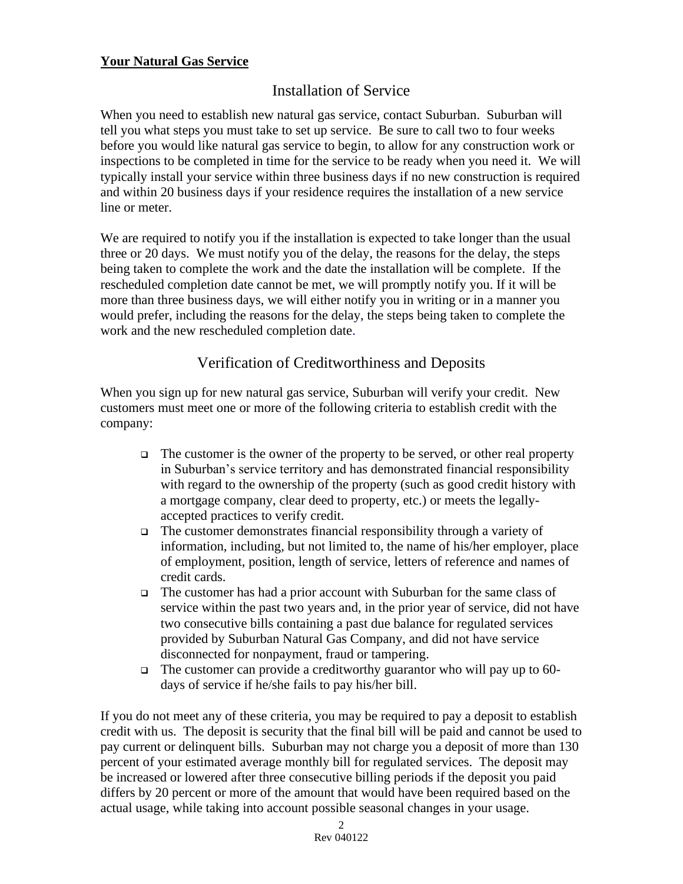## Installation of Service

When you need to establish new natural gas service, contact Suburban. Suburban will tell you what steps you must take to set up service. Be sure to call two to four weeks before you would like natural gas service to begin, to allow for any construction work or inspections to be completed in time for the service to be ready when you need it. We will typically install your service within three business days if no new construction is required and within 20 business days if your residence requires the installation of a new service line or meter.

We are required to notify you if the installation is expected to take longer than the usual three or 20 days. We must notify you of the delay, the reasons for the delay, the steps being taken to complete the work and the date the installation will be complete. If the rescheduled completion date cannot be met, we will promptly notify you. If it will be more than three business days, we will either notify you in writing or in a manner you would prefer, including the reasons for the delay, the steps being taken to complete the work and the new rescheduled completion date.

## Verification of Creditworthiness and Deposits

When you sign up for new natural gas service, Suburban will verify your credit. New customers must meet one or more of the following criteria to establish credit with the company:

- ❑ The customer is the owner of the property to be served, or other real property in Suburban's service territory and has demonstrated financial responsibility with regard to the ownership of the property (such as good credit history with a mortgage company, clear deed to property, etc.) or meets the legallyaccepted practices to verify credit.
- ❑ The customer demonstrates financial responsibility through a variety of information, including, but not limited to, the name of his/her employer, place of employment, position, length of service, letters of reference and names of credit cards.
- ❑ The customer has had a prior account with Suburban for the same class of service within the past two years and, in the prior year of service, did not have two consecutive bills containing a past due balance for regulated services provided by Suburban Natural Gas Company, and did not have service disconnected for nonpayment, fraud or tampering.
- ❑ The customer can provide a creditworthy guarantor who will pay up to 60 days of service if he/she fails to pay his/her bill.

If you do not meet any of these criteria, you may be required to pay a deposit to establish credit with us. The deposit is security that the final bill will be paid and cannot be used to pay current or delinquent bills. Suburban may not charge you a deposit of more than 130 percent of your estimated average monthly bill for regulated services. The deposit may be increased or lowered after three consecutive billing periods if the deposit you paid differs by 20 percent or more of the amount that would have been required based on the actual usage, while taking into account possible seasonal changes in your usage.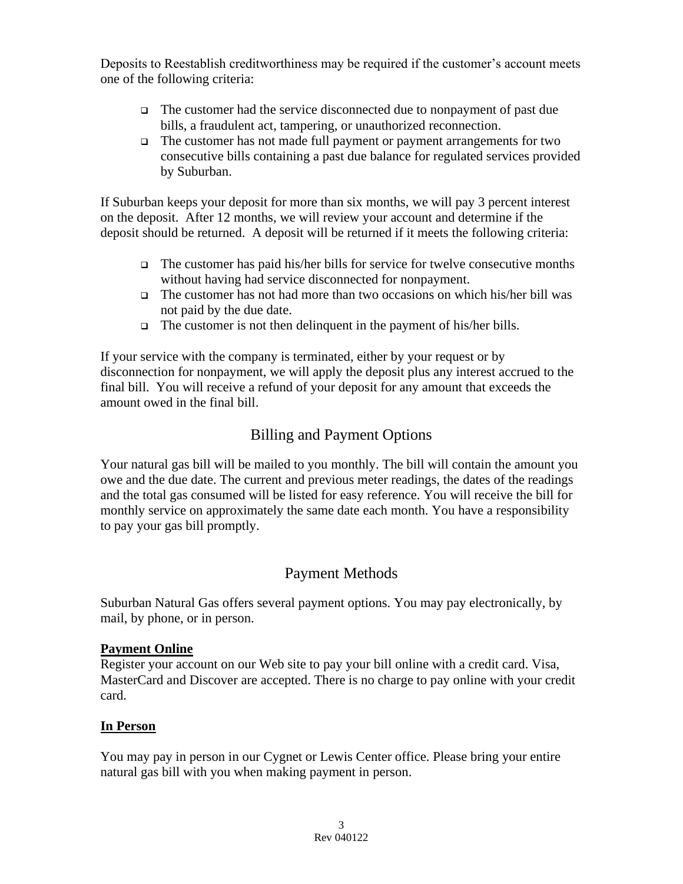Deposits to Reestablish creditworthiness may be required if the customer's account meets one of the following criteria:

- ❑ The customer had the service disconnected due to nonpayment of past due bills, a fraudulent act, tampering, or unauthorized reconnection.
- ❑ The customer has not made full payment or payment arrangements for two consecutive bills containing a past due balance for regulated services provided by Suburban.

If Suburban keeps your deposit for more than six months, we will pay 3 percent interest on the deposit. After 12 months, we will review your account and determine if the deposit should be returned. A deposit will be returned if it meets the following criteria:

- ❑ The customer has paid his/her bills for service for twelve consecutive months without having had service disconnected for nonpayment.
- ❑ The customer has not had more than two occasions on which his/her bill was not paid by the due date.
- ❑ The customer is not then delinquent in the payment of his/her bills.

If your service with the company is terminated, either by your request or by disconnection for nonpayment, we will apply the deposit plus any interest accrued to the final bill. You will receive a refund of your deposit for any amount that exceeds the amount owed in the final bill.

## Billing and Payment Options

Your natural gas bill will be mailed to you monthly. The bill will contain the amount you owe and the due date. The current and previous meter readings, the dates of the readings and the total gas consumed will be listed for easy reference. You will receive the bill for monthly service on approximately the same date each month. You have a responsibility to pay your gas bill promptly.

## Payment Methods

Suburban Natural Gas offers several payment options. You may pay electronically, by mail, by phone, or in person.

#### **Payment Online**

Register your account on our Web site to pay your bill online with a credit card. Visa, MasterCard and Discover are accepted. There is no charge to pay online with your credit card.

#### **In Person**

You may pay in person in our Cygnet or Lewis Center office. Please bring your entire natural gas bill with you when making payment in person.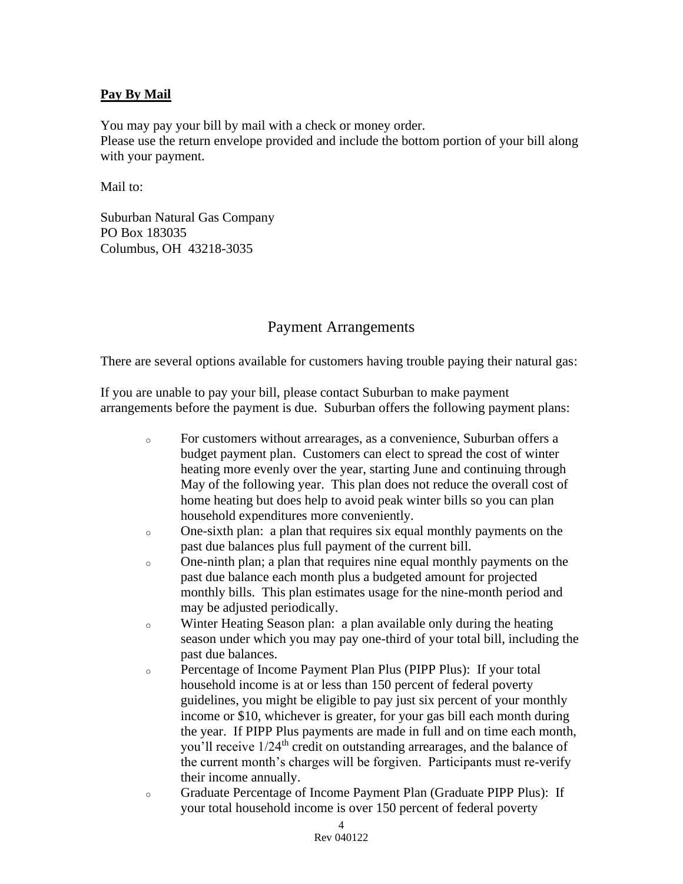#### **Pay By Mail**

You may pay your bill by mail with a check or money order. Please use the return envelope provided and include the bottom portion of your bill along with your payment.

Mail to:

Suburban Natural Gas Company PO Box 183035 Columbus, OH 43218-3035

## Payment Arrangements

There are several options available for customers having trouble paying their natural gas:

If you are unable to pay your bill, please contact Suburban to make payment arrangements before the payment is due. Suburban offers the following payment plans:

- <sup>o</sup> For customers without arrearages, as a convenience, Suburban offers a budget payment plan. Customers can elect to spread the cost of winter heating more evenly over the year, starting June and continuing through May of the following year. This plan does not reduce the overall cost of home heating but does help to avoid peak winter bills so you can plan household expenditures more conveniently.
- <sup>o</sup> One-sixth plan: a plan that requires six equal monthly payments on the past due balances plus full payment of the current bill.
- <sup>o</sup> One-ninth plan; a plan that requires nine equal monthly payments on the past due balance each month plus a budgeted amount for projected monthly bills. This plan estimates usage for the nine-month period and may be adjusted periodically.
- <sup>o</sup> Winter Heating Season plan: a plan available only during the heating season under which you may pay one-third of your total bill, including the past due balances.
- <sup>o</sup> Percentage of Income Payment Plan Plus (PIPP Plus): If your total household income is at or less than 150 percent of federal poverty guidelines, you might be eligible to pay just six percent of your monthly income or \$10, whichever is greater, for your gas bill each month during the year. If PIPP Plus payments are made in full and on time each month, you'll receive  $1/24<sup>th</sup>$  credit on outstanding arrearages, and the balance of the current month's charges will be forgiven. Participants must re-verify their income annually.
- <sup>o</sup> Graduate Percentage of Income Payment Plan (Graduate PIPP Plus): If your total household income is over 150 percent of federal poverty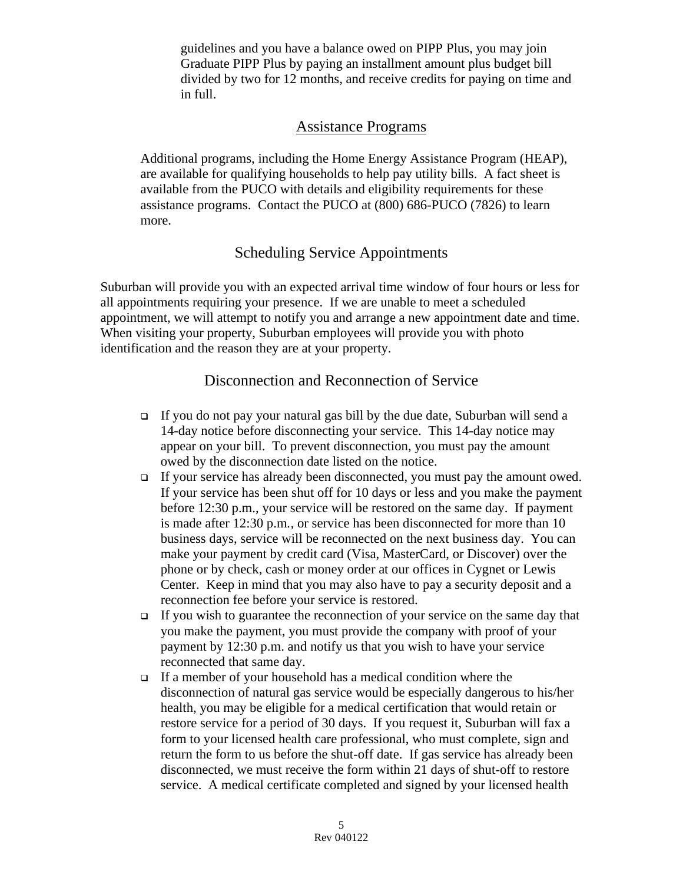guidelines and you have a balance owed on PIPP Plus, you may join Graduate PIPP Plus by paying an installment amount plus budget bill divided by two for 12 months, and receive credits for paying on time and in full.

#### Assistance Programs

Additional programs, including the Home Energy Assistance Program (HEAP), are available for qualifying households to help pay utility bills. A fact sheet is available from the PUCO with details and eligibility requirements for these assistance programs. Contact the PUCO at (800) 686-PUCO (7826) to learn more.

## Scheduling Service Appointments

Suburban will provide you with an expected arrival time window of four hours or less for all appointments requiring your presence. If we are unable to meet a scheduled appointment, we will attempt to notify you and arrange a new appointment date and time. When visiting your property, Suburban employees will provide you with photo identification and the reason they are at your property.

## Disconnection and Reconnection of Service

- ❑ If you do not pay your natural gas bill by the due date, Suburban will send a 14-day notice before disconnecting your service. This 14-day notice may appear on your bill. To prevent disconnection, you must pay the amount owed by the disconnection date listed on the notice.
- ❑ If your service has already been disconnected, you must pay the amount owed. If your service has been shut off for 10 days or less and you make the payment before 12:30 p.m., your service will be restored on the same day. If payment is made after 12:30 p.m*.,* or service has been disconnected for more than 10 business days, service will be reconnected on the next business day. You can make your payment by credit card (Visa, MasterCard, or Discover) over the phone or by check, cash or money order at our offices in Cygnet or Lewis Center. Keep in mind that you may also have to pay a security deposit and a reconnection fee before your service is restored.
- ❑ If you wish to guarantee the reconnection of your service on the same day that you make the payment, you must provide the company with proof of your payment by 12:30 p.m. and notify us that you wish to have your service reconnected that same day.
- ❑ If a member of your household has a medical condition where the disconnection of natural gas service would be especially dangerous to his/her health, you may be eligible for a medical certification that would retain or restore service for a period of 30 days. If you request it, Suburban will fax a form to your licensed health care professional, who must complete, sign and return the form to us before the shut-off date. If gas service has already been disconnected, we must receive the form within 21 days of shut-off to restore service. A medical certificate completed and signed by your licensed health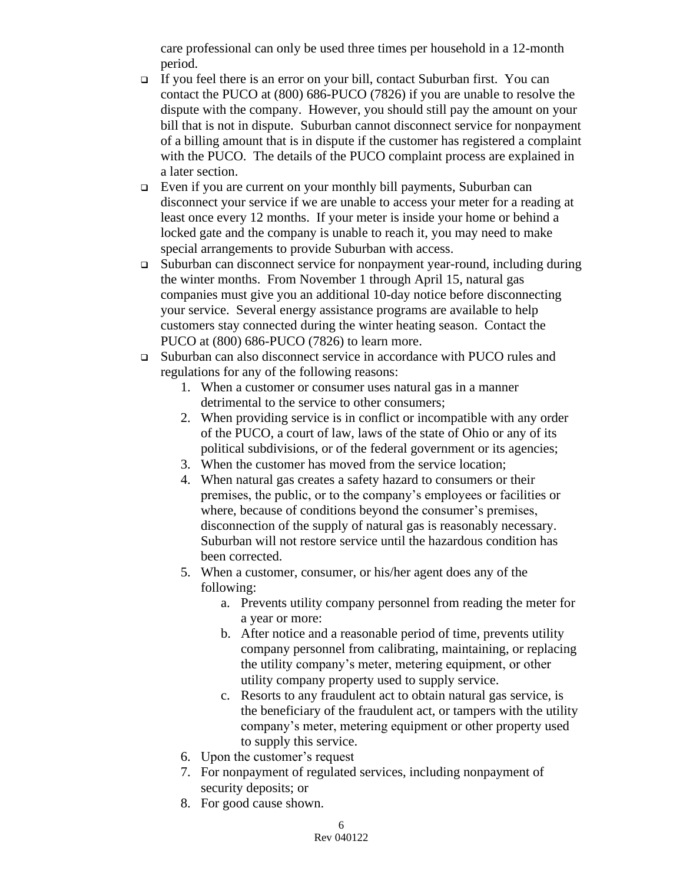care professional can only be used three times per household in a 12-month period.

- ❑ If you feel there is an error on your bill, contact Suburban first. You can contact the PUCO at (800) 686-PUCO (7826) if you are unable to resolve the dispute with the company. However, you should still pay the amount on your bill that is not in dispute. Suburban cannot disconnect service for nonpayment of a billing amount that is in dispute if the customer has registered a complaint with the PUCO. The details of the PUCO complaint process are explained in a later section.
- ❑ Even if you are current on your monthly bill payments, Suburban can disconnect your service if we are unable to access your meter for a reading at least once every 12 months. If your meter is inside your home or behind a locked gate and the company is unable to reach it, you may need to make special arrangements to provide Suburban with access.
- ❑ Suburban can disconnect service for nonpayment year-round, including during the winter months. From November 1 through April 15, natural gas companies must give you an additional 10-day notice before disconnecting your service. Several energy assistance programs are available to help customers stay connected during the winter heating season. Contact the PUCO at (800) 686-PUCO (7826) to learn more.
- ❑ Suburban can also disconnect service in accordance with PUCO rules and regulations for any of the following reasons:
	- 1. When a customer or consumer uses natural gas in a manner detrimental to the service to other consumers;
	- 2. When providing service is in conflict or incompatible with any order of the PUCO, a court of law, laws of the state of Ohio or any of its political subdivisions, or of the federal government or its agencies;
	- 3. When the customer has moved from the service location;
	- 4. When natural gas creates a safety hazard to consumers or their premises, the public, or to the company's employees or facilities or where, because of conditions beyond the consumer's premises, disconnection of the supply of natural gas is reasonably necessary. Suburban will not restore service until the hazardous condition has been corrected.
	- 5. When a customer, consumer, or his/her agent does any of the following:
		- a. Prevents utility company personnel from reading the meter for a year or more:
		- b. After notice and a reasonable period of time, prevents utility company personnel from calibrating, maintaining, or replacing the utility company's meter, metering equipment, or other utility company property used to supply service.
		- c. Resorts to any fraudulent act to obtain natural gas service, is the beneficiary of the fraudulent act, or tampers with the utility company's meter, metering equipment or other property used to supply this service.
	- 6. Upon the customer's request
	- 7. For nonpayment of regulated services, including nonpayment of security deposits; or
	- 8. For good cause shown.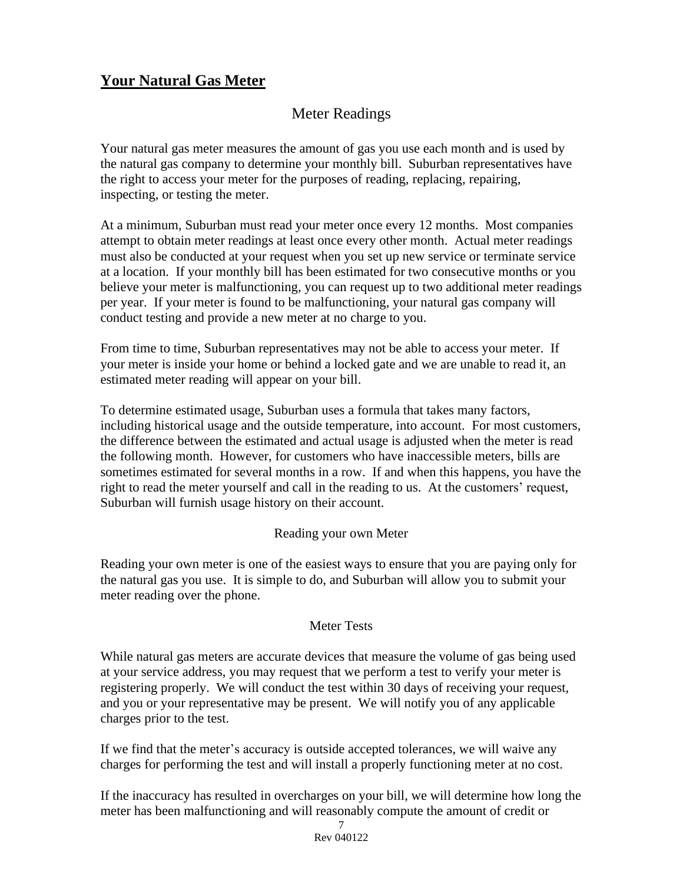## **Your Natural Gas Meter**

## Meter Readings

Your natural gas meter measures the amount of gas you use each month and is used by the natural gas company to determine your monthly bill. Suburban representatives have the right to access your meter for the purposes of reading, replacing, repairing, inspecting, or testing the meter.

At a minimum, Suburban must read your meter once every 12 months. Most companies attempt to obtain meter readings at least once every other month. Actual meter readings must also be conducted at your request when you set up new service or terminate service at a location. If your monthly bill has been estimated for two consecutive months or you believe your meter is malfunctioning, you can request up to two additional meter readings per year. If your meter is found to be malfunctioning, your natural gas company will conduct testing and provide a new meter at no charge to you.

From time to time, Suburban representatives may not be able to access your meter. If your meter is inside your home or behind a locked gate and we are unable to read it, an estimated meter reading will appear on your bill.

To determine estimated usage, Suburban uses a formula that takes many factors, including historical usage and the outside temperature, into account. For most customers, the difference between the estimated and actual usage is adjusted when the meter is read the following month. However, for customers who have inaccessible meters, bills are sometimes estimated for several months in a row. If and when this happens, you have the right to read the meter yourself and call in the reading to us. At the customers' request, Suburban will furnish usage history on their account.

#### Reading your own Meter

Reading your own meter is one of the easiest ways to ensure that you are paying only for the natural gas you use. It is simple to do, and Suburban will allow you to submit your meter reading over the phone.

#### Meter Tests

While natural gas meters are accurate devices that measure the volume of gas being used at your service address, you may request that we perform a test to verify your meter is registering properly. We will conduct the test within 30 days of receiving your request, and you or your representative may be present. We will notify you of any applicable charges prior to the test.

If we find that the meter's accuracy is outside accepted tolerances, we will waive any charges for performing the test and will install a properly functioning meter at no cost.

If the inaccuracy has resulted in overcharges on your bill, we will determine how long the meter has been malfunctioning and will reasonably compute the amount of credit or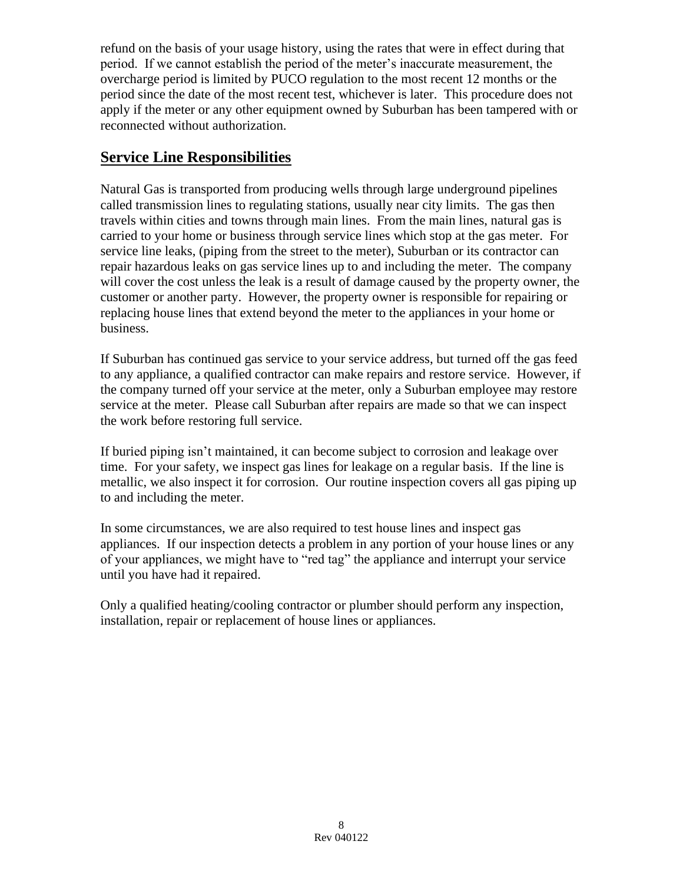refund on the basis of your usage history, using the rates that were in effect during that period. If we cannot establish the period of the meter's inaccurate measurement, the overcharge period is limited by PUCO regulation to the most recent 12 months or the period since the date of the most recent test, whichever is later. This procedure does not apply if the meter or any other equipment owned by Suburban has been tampered with or reconnected without authorization.

## **Service Line Responsibilities**

Natural Gas is transported from producing wells through large underground pipelines called transmission lines to regulating stations, usually near city limits. The gas then travels within cities and towns through main lines. From the main lines, natural gas is carried to your home or business through service lines which stop at the gas meter. For service line leaks, (piping from the street to the meter), Suburban or its contractor can repair hazardous leaks on gas service lines up to and including the meter. The company will cover the cost unless the leak is a result of damage caused by the property owner, the customer or another party. However, the property owner is responsible for repairing or replacing house lines that extend beyond the meter to the appliances in your home or business.

If Suburban has continued gas service to your service address, but turned off the gas feed to any appliance, a qualified contractor can make repairs and restore service. However, if the company turned off your service at the meter, only a Suburban employee may restore service at the meter. Please call Suburban after repairs are made so that we can inspect the work before restoring full service.

If buried piping isn't maintained, it can become subject to corrosion and leakage over time. For your safety, we inspect gas lines for leakage on a regular basis. If the line is metallic, we also inspect it for corrosion. Our routine inspection covers all gas piping up to and including the meter.

In some circumstances, we are also required to test house lines and inspect gas appliances. If our inspection detects a problem in any portion of your house lines or any of your appliances, we might have to "red tag" the appliance and interrupt your service until you have had it repaired.

Only a qualified heating/cooling contractor or plumber should perform any inspection, installation, repair or replacement of house lines or appliances.